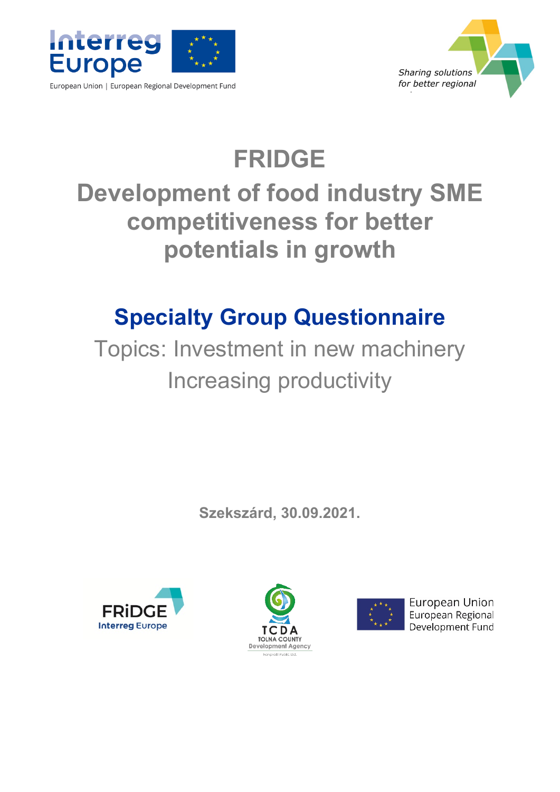

*Sharing solutions for better regional l*

# **FRIDGE Development of food industry SME competitiveness for better potentials in growth**

# **Specialty Group Questionnaire**

Topics: Investment in new machinery Increasing productivity

**Szekszárd, 30.09.2021.**







**European Union** European Regional Development Fund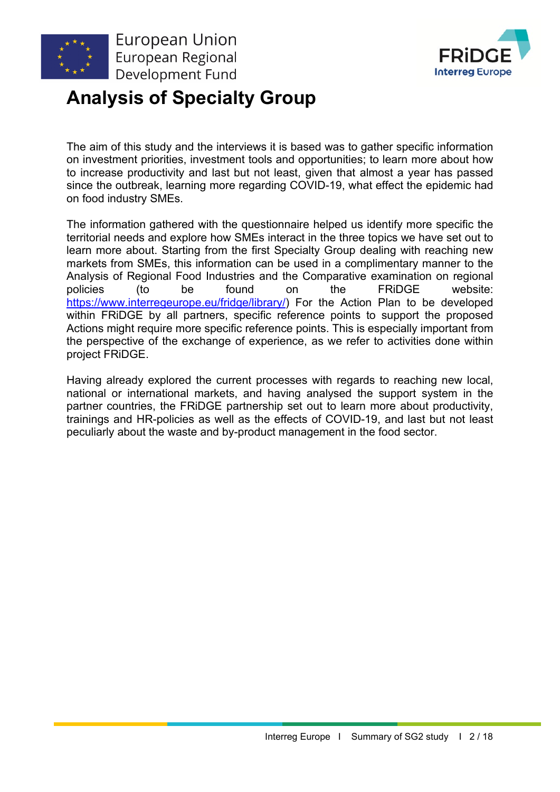

**Interreg Europe** 

# **Analysis of Specialty Group**

The aim of this study and the interviews it is based was to gather specific information on investment priorities, investment tools and opportunities; to learn more about how to increase productivity and last but not least, given that almost a year has passed since the outbreak, learning more regarding COVID-19, what effect the epidemic had on food industry SMEs.

The information gathered with the questionnaire helped us identify more specific the territorial needs and explore how SMEs interact in the three topics we have set out to learn more about. Starting from the first Specialty Group dealing with reaching new markets from SMEs, this information can be used in a complimentary manner to the Analysis of Regional Food Industries and the Comparative examination on regional policies (to be found on the FRiDGE website: [https://www.interregeurope.eu/fridge/library/\)](https://www.interregeurope.eu/fridge/library/) For the Action Plan to be developed within FRiDGE by all partners, specific reference points to support the proposed Actions might require more specific reference points. This is especially important from the perspective of the exchange of experience, as we refer to activities done within project FRiDGE.

Having already explored the current processes with regards to reaching new local, national or international markets, and having analysed the support system in the partner countries, the FRiDGE partnership set out to learn more about productivity, trainings and HR-policies as well as the effects of COVID-19, and last but not least peculiarly about the waste and by-product management in the food sector.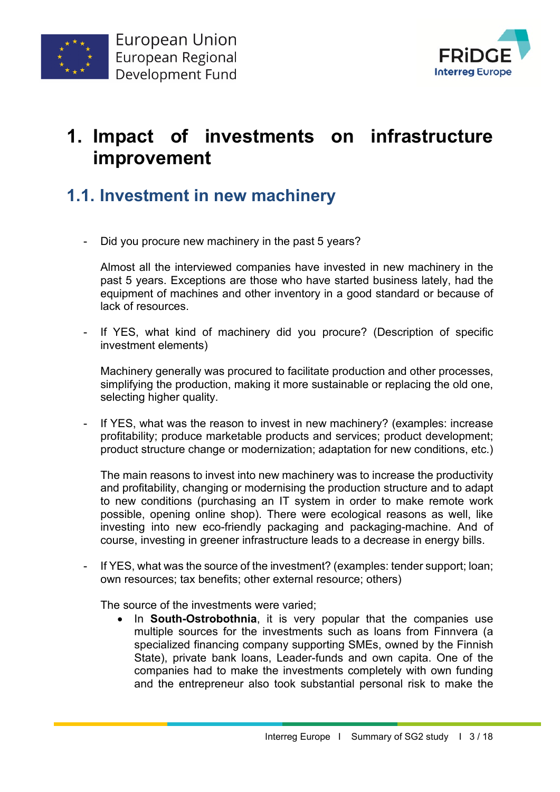



## **1. Impact of investments on infrastructure improvement**

### **1.1. Investment in new machinery**

Did you procure new machinery in the past 5 years?

Almost all the interviewed companies have invested in new machinery in the past 5 years. Exceptions are those who have started business lately, had the equipment of machines and other inventory in a good standard or because of lack of resources.

If YES, what kind of machinery did you procure? (Description of specific investment elements)

Machinery generally was procured to facilitate production and other processes, simplifying the production, making it more sustainable or replacing the old one, selecting higher quality.

If YES, what was the reason to invest in new machinery? (examples: increase profitability; produce marketable products and services; product development; product structure change or modernization; adaptation for new conditions, etc.)

The main reasons to invest into new machinery was to increase the productivity and profitability, changing or modernising the production structure and to adapt to new conditions (purchasing an IT system in order to make remote work possible, opening online shop). There were ecological reasons as well, like investing into new eco-friendly packaging and packaging-machine. And of course, investing in greener infrastructure leads to a decrease in energy bills.

If YES, what was the source of the investment? (examples: tender support; loan; own resources; tax benefits; other external resource; others)

The source of the investments were varied;

• In **South-Ostrobothnia**, it is very popular that the companies use multiple sources for the investments such as loans from Finnvera (a specialized financing company supporting SMEs, owned by the Finnish State), private bank loans, Leader-funds and own capita. One of the companies had to make the investments completely with own funding and the entrepreneur also took substantial personal risk to make the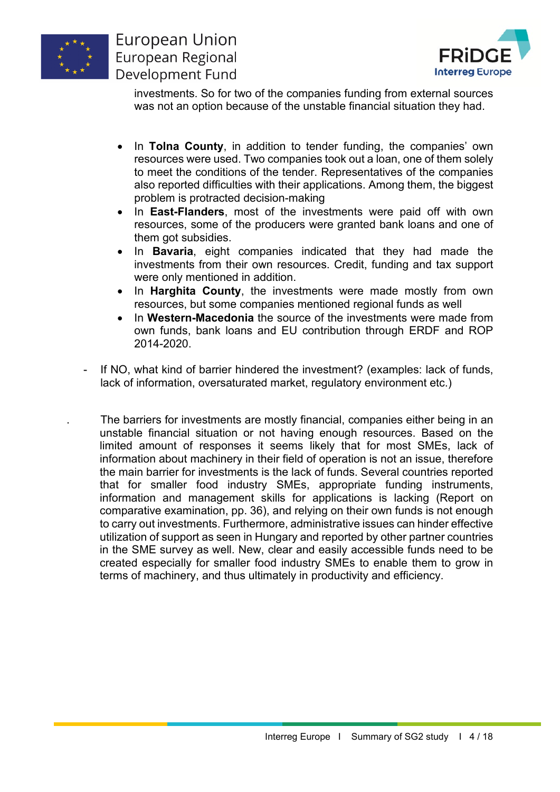



investments. So for two of the companies funding from external sources was not an option because of the unstable financial situation they had.

- In **Tolna County**, in addition to tender funding, the companies' own resources were used. Two companies took out a loan, one of them solely to meet the conditions of the tender. Representatives of the companies also reported difficulties with their applications. Among them, the biggest problem is protracted decision-making
- In **East-Flanders**, most of the investments were paid off with own resources, some of the producers were granted bank loans and one of them got subsidies.
- In **Bavaria**, eight companies indicated that they had made the investments from their own resources. Credit, funding and tax support were only mentioned in addition.
- In **Harghita County**, the investments were made mostly from own resources, but some companies mentioned regional funds as well
- In **Western-Macedonia** the source of the investments were made from own funds, bank loans and EU contribution through ERDF and ROP 2014-2020.
- If NO, what kind of barrier hindered the investment? (examples: lack of funds, lack of information, oversaturated market, regulatory environment etc.)
- . The barriers for investments are mostly financial, companies either being in an unstable financial situation or not having enough resources. Based on the limited amount of responses it seems likely that for most SMEs, lack of information about machinery in their field of operation is not an issue, therefore the main barrier for investments is the lack of funds. Several countries reported that for smaller food industry SMEs, appropriate funding instruments, information and management skills for applications is lacking (Report on comparative examination, pp. 36), and relying on their own funds is not enough to carry out investments. Furthermore, administrative issues can hinder effective utilization of support as seen in Hungary and reported by other partner countries in the SME survey as well. New, clear and easily accessible funds need to be created especially for smaller food industry SMEs to enable them to grow in terms of machinery, and thus ultimately in productivity and efficiency.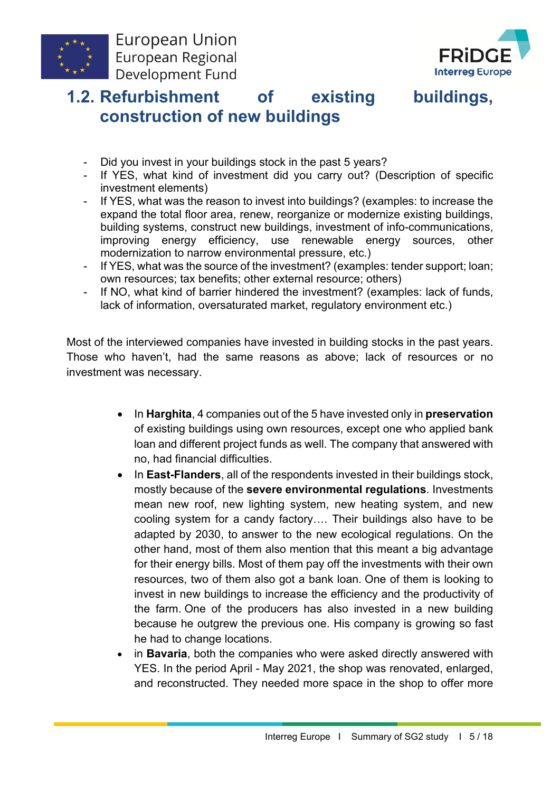



### **1.2. Refurbishment of existing buildings, construction of new buildings**

- Did you invest in your buildings stock in the past 5 years?
- If YES, what kind of investment did you carry out? (Description of specific investment elements)
- If YES, what was the reason to invest into buildings? (examples: to increase the expand the total floor area, renew, reorganize or modernize existing buildings, building systems, construct new buildings, investment of info-communications, improving energy efficiency, use renewable energy sources, other modernization to narrow environmental pressure, etc.)
- If YES, what was the source of the investment? (examples: tender support; loan; own resources; tax benefits; other external resource; others)
- If NO, what kind of barrier hindered the investment? (examples: lack of funds, lack of information, oversaturated market, regulatory environment etc.)

Most of the interviewed companies have invested in building stocks in the past years. Those who haven't, had the same reasons as above; lack of resources or no investment was necessary.

- In **Harghita**, 4 companies out of the 5 have invested only in **preservation** of existing buildings using own resources, except one who applied bank loan and different project funds as well. The company that answered with no, had financial difficulties.
- In **East-Flanders**, all of the respondents invested in their buildings stock, mostly because of the **severe environmental regulations**. Investments mean new roof, new lighting system, new heating system, and new cooling system for a candy factory…. Their buildings also have to be adapted by 2030, to answer to the new ecological regulations. On the other hand, most of them also mention that this meant a big advantage for their energy bills. Most of them pay off the investments with their own resources, two of them also got a bank loan. One of them is looking to invest in new buildings to increase the efficiency and the productivity of the farm. One of the producers has also invested in a new building because he outgrew the previous one. His company is growing so fast he had to change locations.
- in **Bavaria**, both the companies who were asked directly answered with YES. In the period April - May 2021, the shop was renovated, enlarged, and reconstructed. They needed more space in the shop to offer more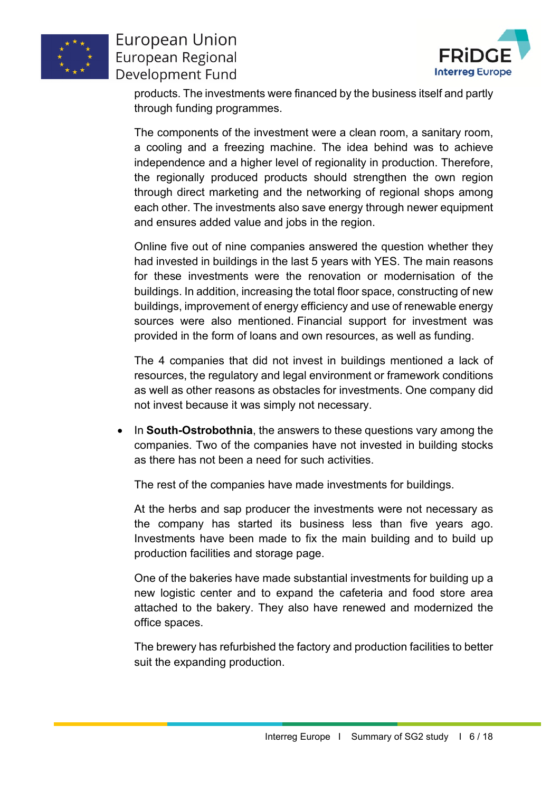



products. The investments were financed by the business itself and partly through funding programmes.

The components of the investment were a clean room, a sanitary room, a cooling and a freezing machine. The idea behind was to achieve independence and a higher level of regionality in production. Therefore, the regionally produced products should strengthen the own region through direct marketing and the networking of regional shops among each other. The investments also save energy through newer equipment and ensures added value and jobs in the region.

Online five out of nine companies answered the question whether they had invested in buildings in the last 5 years with YES. The main reasons for these investments were the renovation or modernisation of the buildings. In addition, increasing the total floor space, constructing of new buildings, improvement of energy efficiency and use of renewable energy sources were also mentioned. Financial support for investment was provided in the form of loans and own resources, as well as funding.

The 4 companies that did not invest in buildings mentioned a lack of resources, the regulatory and legal environment or framework conditions as well as other reasons as obstacles for investments. One company did not invest because it was simply not necessary.

• In **South-Ostrobothnia**, the answers to these questions vary among the companies. Two of the companies have not invested in building stocks as there has not been a need for such activities.

The rest of the companies have made investments for buildings.

At the herbs and sap producer the investments were not necessary as the company has started its business less than five years ago. Investments have been made to fix the main building and to build up production facilities and storage page.

One of the bakeries have made substantial investments for building up a new logistic center and to expand the cafeteria and food store area attached to the bakery. They also have renewed and modernized the office spaces.

The brewery has refurbished the factory and production facilities to better suit the expanding production.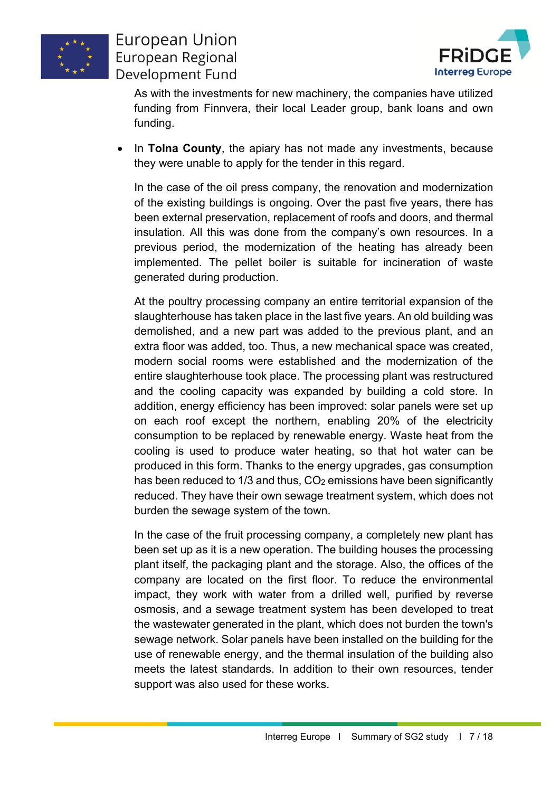



As with the investments for new machinery, the companies have utilized funding from Finnvera, their local Leader group, bank loans and own funding.

• In **Tolna County**, the apiary has not made any investments, because they were unable to apply for the tender in this regard.

In the case of the oil press company, the renovation and modernization of the existing buildings is ongoing. Over the past five years, there has been external preservation, replacement of roofs and doors, and thermal insulation. All this was done from the company's own resources. In a previous period, the modernization of the heating has already been implemented. The pellet boiler is suitable for incineration of waste generated during production.

At the poultry processing company an entire territorial expansion of the slaughterhouse has taken place in the last five years. An old building was demolished, and a new part was added to the previous plant, and an extra floor was added, too. Thus, a new mechanical space was created, modern social rooms were established and the modernization of the entire slaughterhouse took place. The processing plant was restructured and the cooling capacity was expanded by building a cold store. In addition, energy efficiency has been improved: solar panels were set up on each roof except the northern, enabling 20% of the electricity consumption to be replaced by renewable energy. Waste heat from the cooling is used to produce water heating, so that hot water can be produced in this form. Thanks to the energy upgrades, gas consumption has been reduced to 1/3 and thus, CO<sub>2</sub> emissions have been significantly reduced. They have their own sewage treatment system, which does not burden the sewage system of the town.

In the case of the fruit processing company, a completely new plant has been set up as it is a new operation. The building houses the processing plant itself, the packaging plant and the storage. Also, the offices of the company are located on the first floor. To reduce the environmental impact, they work with water from a drilled well, purified by reverse osmosis, and a sewage treatment system has been developed to treat the wastewater generated in the plant, which does not burden the town's sewage network. Solar panels have been installed on the building for the use of renewable energy, and the thermal insulation of the building also meets the latest standards. In addition to their own resources, tender support was also used for these works.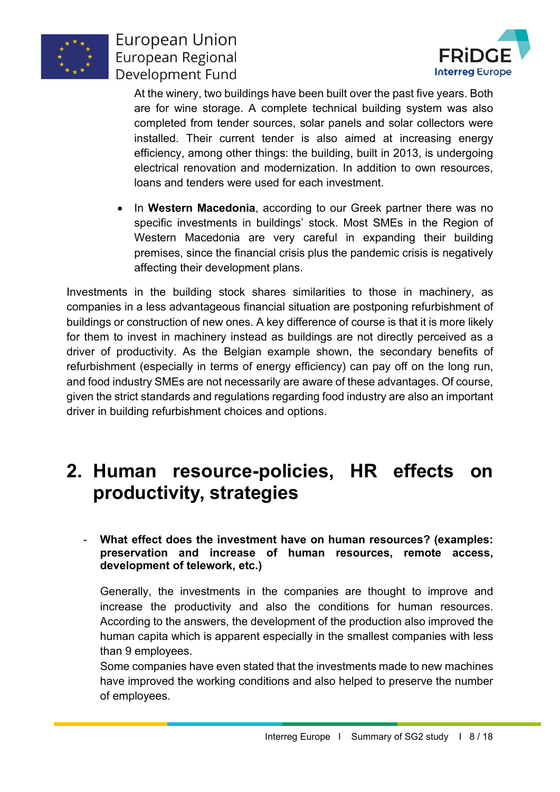



At the winery, two buildings have been built over the past five years. Both are for wine storage. A complete technical building system was also completed from tender sources, solar panels and solar collectors were installed. Their current tender is also aimed at increasing energy efficiency, among other things: the building, built in 2013, is undergoing electrical renovation and modernization. In addition to own resources, loans and tenders were used for each investment.

• In **Western Macedonia**, according to our Greek partner there was no specific investments in buildings' stock. Most SMEs in the Region of Western Macedonia are very careful in expanding their building premises, since the financial crisis plus the pandemic crisis is negatively affecting their development plans.

Investments in the building stock shares similarities to those in machinery, as companies in a less advantageous financial situation are postponing refurbishment of buildings or construction of new ones. A key difference of course is that it is more likely for them to invest in machinery instead as buildings are not directly perceived as a driver of productivity. As the Belgian example shown, the secondary benefits of refurbishment (especially in terms of energy efficiency) can pay off on the long run, and food industry SMEs are not necessarily are aware of these advantages. Of course, given the strict standards and regulations regarding food industry are also an important driver in building refurbishment choices and options.

## **2. Human resource-policies, HR effects on productivity, strategies**

#### - **What effect does the investment have on human resources? (examples: preservation and increase of human resources, remote access, development of telework, etc.)**

Generally, the investments in the companies are thought to improve and increase the productivity and also the conditions for human resources. According to the answers, the development of the production also improved the human capita which is apparent especially in the smallest companies with less than 9 employees.

Some companies have even stated that the investments made to new machines have improved the working conditions and also helped to preserve the number of employees.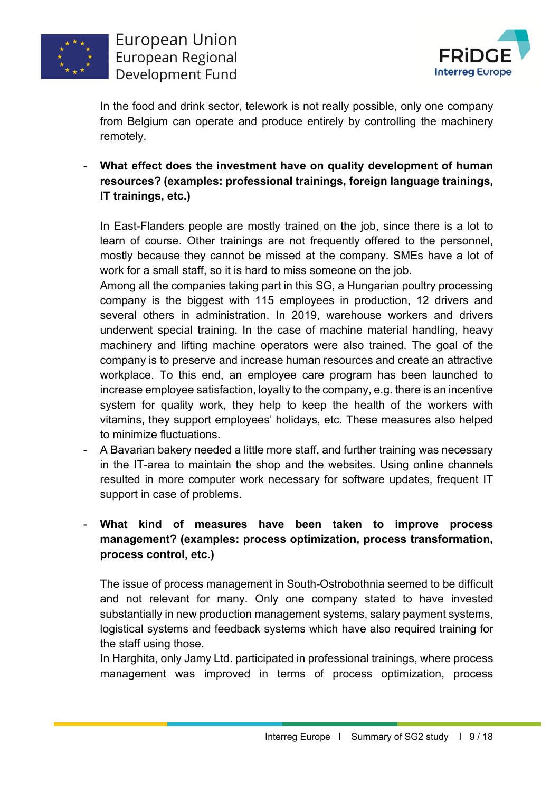



In the food and drink sector, telework is not really possible, only one company from Belgium can operate and produce entirely by controlling the machinery remotely.

- **What effect does the investment have on quality development of human resources? (examples: professional trainings, foreign language trainings, IT trainings, etc.)**

In East-Flanders people are mostly trained on the job, since there is a lot to learn of course. Other trainings are not frequently offered to the personnel, mostly because they cannot be missed at the company. SMEs have a lot of work for a small staff, so it is hard to miss someone on the job.

Among all the companies taking part in this SG, a Hungarian poultry processing company is the biggest with 115 employees in production, 12 drivers and several others in administration. In 2019, warehouse workers and drivers underwent special training. In the case of machine material handling, heavy machinery and lifting machine operators were also trained. The goal of the company is to preserve and increase human resources and create an attractive workplace. To this end, an employee care program has been launched to increase employee satisfaction, loyalty to the company, e.g. there is an incentive system for quality work, they help to keep the health of the workers with vitamins, they support employees' holidays, etc. These measures also helped to minimize fluctuations.

- A Bavarian bakery needed a little more staff, and further training was necessary in the IT-area to maintain the shop and the websites. Using online channels resulted in more computer work necessary for software updates, frequent IT support in case of problems.

#### - **What kind of measures have been taken to improve process management? (examples: process optimization, process transformation, process control, etc.)**

The issue of process management in South-Ostrobothnia seemed to be difficult and not relevant for many. Only one company stated to have invested substantially in new production management systems, salary payment systems, logistical systems and feedback systems which have also required training for the staff using those.

In Harghita, only Jamy Ltd. participated in professional trainings, where process management was improved in terms of process optimization, process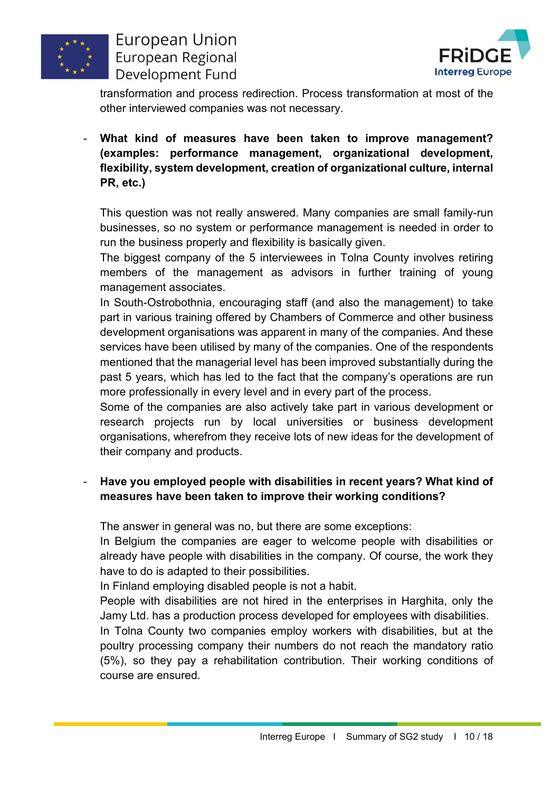



transformation and process redirection. Process transformation at most of the other interviewed companies was not necessary.

- **What kind of measures have been taken to improve management? (examples: performance management, organizational development, flexibility, system development, creation of organizational culture, internal PR, etc.)**

This question was not really answered. Many companies are small family-run businesses, so no system or performance management is needed in order to run the business properly and flexibility is basically given.

The biggest company of the 5 interviewees in Tolna County involves retiring members of the management as advisors in further training of young management associates.

In South-Ostrobothnia, encouraging staff (and also the management) to take part in various training offered by Chambers of Commerce and other business development organisations was apparent in many of the companies. And these services have been utilised by many of the companies. One of the respondents mentioned that the managerial level has been improved substantially during the past 5 years, which has led to the fact that the company's operations are run more professionally in every level and in every part of the process.

Some of the companies are also actively take part in various development or research projects run by local universities or business development organisations, wherefrom they receive lots of new ideas for the development of their company and products.

#### - **Have you employed people with disabilities in recent years? What kind of measures have been taken to improve their working conditions?**

The answer in general was no, but there are some exceptions:

In Belgium the companies are eager to welcome people with disabilities or already have people with disabilities in the company. Of course, the work they have to do is adapted to their possibilities.

In Finland employing disabled people is not a habit.

People with disabilities are not hired in the enterprises in Harghita, only the Jamy Ltd. has a production process developed for employees with disabilities.

In Tolna County two companies employ workers with disabilities, but at the poultry processing company their numbers do not reach the mandatory ratio (5%), so they pay a rehabilitation contribution. Their working conditions of course are ensured.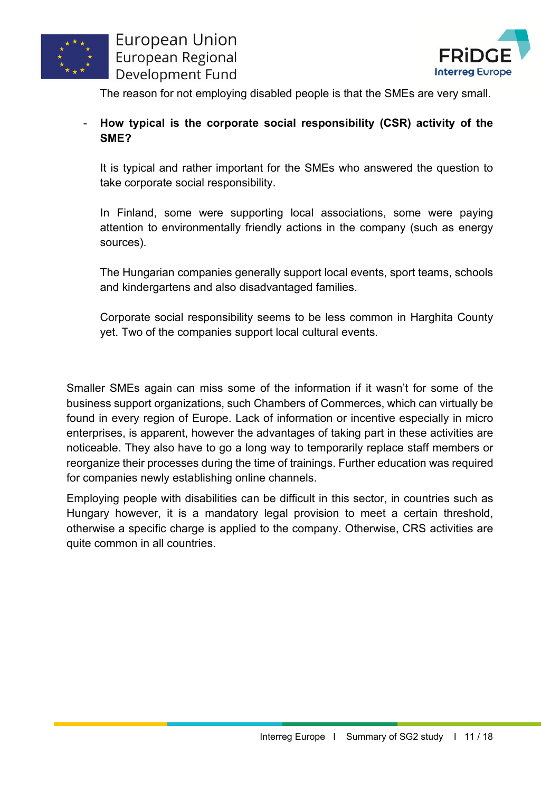



The reason for not employing disabled people is that the SMEs are very small.

#### - **How typical is the corporate social responsibility (CSR) activity of the SME?**

It is typical and rather important for the SMEs who answered the question to take corporate social responsibility.

In Finland, some were supporting local associations, some were paying attention to environmentally friendly actions in the company (such as energy sources).

The Hungarian companies generally support local events, sport teams, schools and kindergartens and also disadvantaged families.

Corporate social responsibility seems to be less common in Harghita County yet. Two of the companies support local cultural events.

Smaller SMEs again can miss some of the information if it wasn't for some of the business support organizations, such Chambers of Commerces, which can virtually be found in every region of Europe. Lack of information or incentive especially in micro enterprises, is apparent, however the advantages of taking part in these activities are noticeable. They also have to go a long way to temporarily replace staff members or reorganize their processes during the time of trainings. Further education was required for companies newly establishing online channels.

Employing people with disabilities can be difficult in this sector, in countries such as Hungary however, it is a mandatory legal provision to meet a certain threshold, otherwise a specific charge is applied to the company. Otherwise, CRS activities are quite common in all countries.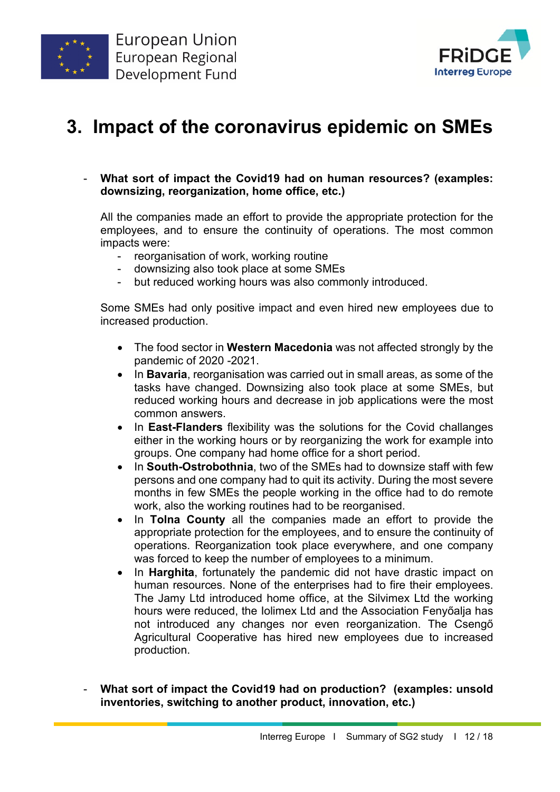



# **3. Impact of the coronavirus epidemic on SMEs**

- **What sort of impact the Covid19 had on human resources? (examples: downsizing, reorganization, home office, etc.)**

All the companies made an effort to provide the appropriate protection for the employees, and to ensure the continuity of operations. The most common impacts were:

- reorganisation of work, working routine
- downsizing also took place at some SMEs
- but reduced working hours was also commonly introduced.

Some SMEs had only positive impact and even hired new employees due to increased production.

- The food sector in **Western Macedonia** was not affected strongly by the pandemic of 2020 -2021.
- In **Bavaria**, reorganisation was carried out in small areas, as some of the tasks have changed. Downsizing also took place at some SMEs, but reduced working hours and decrease in job applications were the most common answers.
- In **East-Flanders** flexibility was the solutions for the Covid challanges either in the working hours or by reorganizing the work for example into groups. One company had home office for a short period.
- In **South-Ostrobothnia**, two of the SMEs had to downsize staff with few persons and one company had to quit its activity. During the most severe months in few SMEs the people working in the office had to do remote work, also the working routines had to be reorganised.
- In **Tolna County** all the companies made an effort to provide the appropriate protection for the employees, and to ensure the continuity of operations. Reorganization took place everywhere, and one company was forced to keep the number of employees to a minimum.
- In **Harghita**, fortunately the pandemic did not have drastic impact on human resources. None of the enterprises had to fire their employees. The Jamy Ltd introduced home office, at the Silvimex Ltd the working hours were reduced, the Iolimex Ltd and the Association Fenyőalja has not introduced any changes nor even reorganization. The Csengő Agricultural Cooperative has hired new employees due to increased production.
- **What sort of impact the Covid19 had on production? (examples: unsold inventories, switching to another product, innovation, etc.)**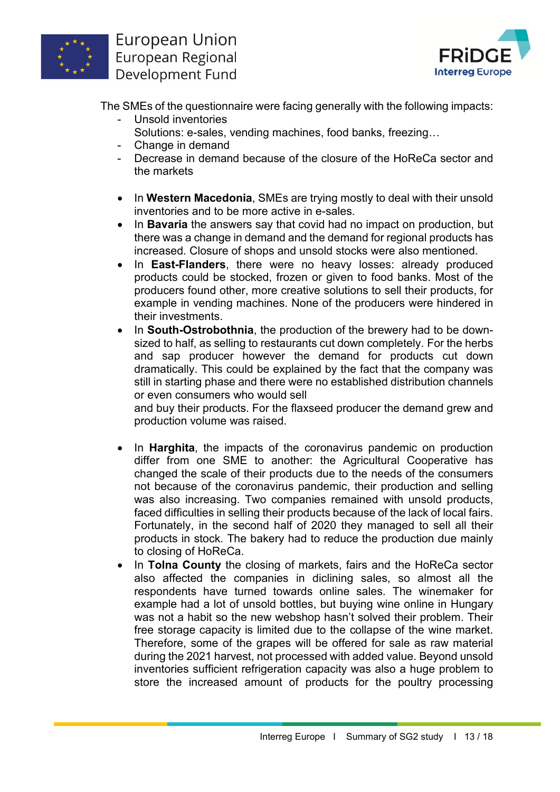



The SMEs of the questionnaire were facing generally with the following impacts:

- Unsold inventories Solutions: e-sales, vending machines, food banks, freezing…
- Change in demand
- Decrease in demand because of the closure of the HoReCa sector and the markets
- In **Western Macedonia**, SMEs are trying mostly to deal with their unsold inventories and to be more active in e-sales.
- In **Bavaria** the answers say that covid had no impact on production, but there was a change in demand and the demand for regional products has increased. Closure of shops and unsold stocks were also mentioned.
- In **East-Flanders**, there were no heavy losses: already produced products could be stocked, frozen or given to food banks. Most of the producers found other, more creative solutions to sell their products, for example in vending machines. None of the producers were hindered in their investments.
- In **South-Ostrobothnia**, the production of the brewery had to be downsized to half, as selling to restaurants cut down completely. For the herbs and sap producer however the demand for products cut down dramatically. This could be explained by the fact that the company was still in starting phase and there were no established distribution channels or even consumers who would sell

and buy their products. For the flaxseed producer the demand grew and production volume was raised.

- In **Harghita**, the impacts of the coronavirus pandemic on production differ from one SME to another: the Agricultural Cooperative has changed the scale of their products due to the needs of the consumers not because of the coronavirus pandemic, their production and selling was also increasing. Two companies remained with unsold products, faced difficulties in selling their products because of the lack of local fairs. Fortunately, in the second half of 2020 they managed to sell all their products in stock. The bakery had to reduce the production due mainly to closing of HoReCa.
- In **Tolna County** the closing of markets, fairs and the HoReCa sector also affected the companies in diclining sales, so almost all the respondents have turned towards online sales. The winemaker for example had a lot of unsold bottles, but buying wine online in Hungary was not a habit so the new webshop hasn't solved their problem. Their free storage capacity is limited due to the collapse of the wine market. Therefore, some of the grapes will be offered for sale as raw material during the 2021 harvest, not processed with added value. Beyond unsold inventories sufficient refrigeration capacity was also a huge problem to store the increased amount of products for the poultry processing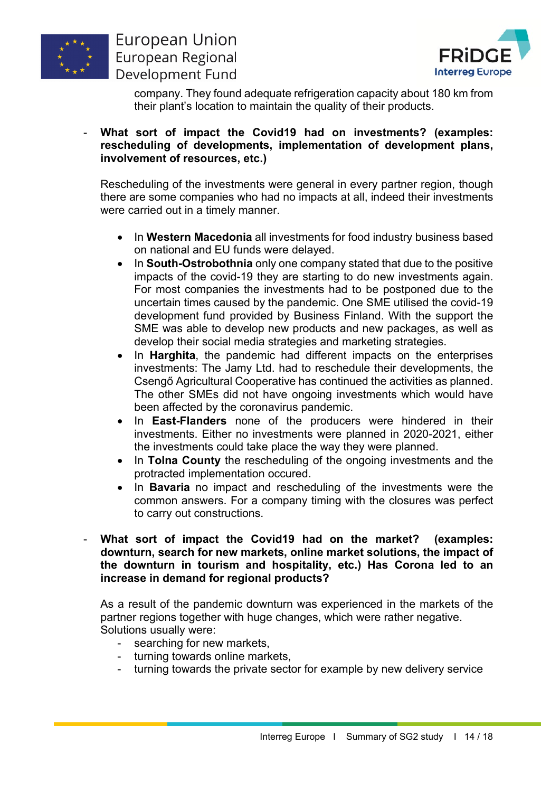



company. They found adequate refrigeration capacity about 180 km from their plant's location to maintain the quality of their products.

#### - **What sort of impact the Covid19 had on investments? (examples: rescheduling of developments, implementation of development plans, involvement of resources, etc.)**

Rescheduling of the investments were general in every partner region, though there are some companies who had no impacts at all, indeed their investments were carried out in a timely manner.

- In **Western Macedonia** all investments for food industry business based on national and EU funds were delayed.
- In **South-Ostrobothnia** only one company stated that due to the positive impacts of the covid-19 they are starting to do new investments again. For most companies the investments had to be postponed due to the uncertain times caused by the pandemic. One SME utilised the covid-19 development fund provided by Business Finland. With the support the SME was able to develop new products and new packages, as well as develop their social media strategies and marketing strategies.
- In **Harghita**, the pandemic had different impacts on the enterprises investments: The Jamy Ltd. had to reschedule their developments, the Csengő Agricultural Cooperative has continued the activities as planned. The other SMEs did not have ongoing investments which would have been affected by the coronavirus pandemic.
- In **East-Flanders** none of the producers were hindered in their investments. Either no investments were planned in 2020-2021, either the investments could take place the way they were planned.
- In **Tolna County** the rescheduling of the ongoing investments and the protracted implementation occured.
- In **Bavaria** no impact and rescheduling of the investments were the common answers. For a company timing with the closures was perfect to carry out constructions.
- **What sort of impact the Covid19 had on the market? (examples: downturn, search for new markets, online market solutions, the impact of the downturn in tourism and hospitality, etc.) Has Corona led to an increase in demand for regional products?**

As a result of the pandemic downturn was experienced in the markets of the partner regions together with huge changes, which were rather negative. Solutions usually were:

- searching for new markets,
- turning towards online markets,
- turning towards the private sector for example by new delivery service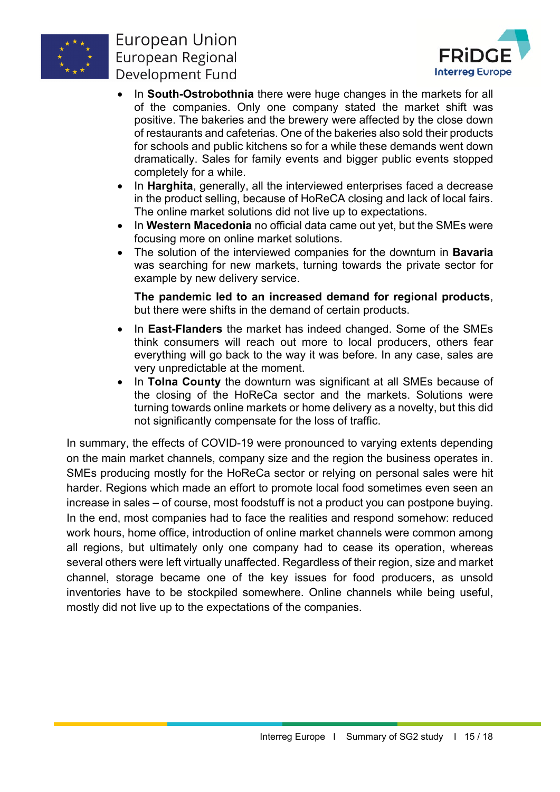



- In **South-Ostrobothnia** there were huge changes in the markets for all of the companies. Only one company stated the market shift was positive. The bakeries and the brewery were affected by the close down of restaurants and cafeterias. One of the bakeries also sold their products for schools and public kitchens so for a while these demands went down dramatically. Sales for family events and bigger public events stopped completely for a while.
- In **Harghita**, generally, all the interviewed enterprises faced a decrease in the product selling, because of HoReCA closing and lack of local fairs. The online market solutions did not live up to expectations.
- In **Western Macedonia** no official data came out yet, but the SMEs were focusing more on online market solutions.
- The solution of the interviewed companies for the downturn in **Bavaria** was searching for new markets, turning towards the private sector for example by new delivery service.

**The pandemic led to an increased demand for regional products**, but there were shifts in the demand of certain products.

- In **East-Flanders** the market has indeed changed. Some of the SMEs think consumers will reach out more to local producers, others fear everything will go back to the way it was before. In any case, sales are very unpredictable at the moment.
- In **Tolna County** the downturn was significant at all SMEs because of the closing of the HoReCa sector and the markets. Solutions were turning towards online markets or home delivery as a novelty, but this did not significantly compensate for the loss of traffic.

In summary, the effects of COVID-19 were pronounced to varying extents depending on the main market channels, company size and the region the business operates in. SMEs producing mostly for the HoReCa sector or relying on personal sales were hit harder. Regions which made an effort to promote local food sometimes even seen an increase in sales – of course, most foodstuff is not a product you can postpone buying. In the end, most companies had to face the realities and respond somehow: reduced work hours, home office, introduction of online market channels were common among all regions, but ultimately only one company had to cease its operation, whereas several others were left virtually unaffected. Regardless of their region, size and market channel, storage became one of the key issues for food producers, as unsold inventories have to be stockpiled somewhere. Online channels while being useful, mostly did not live up to the expectations of the companies.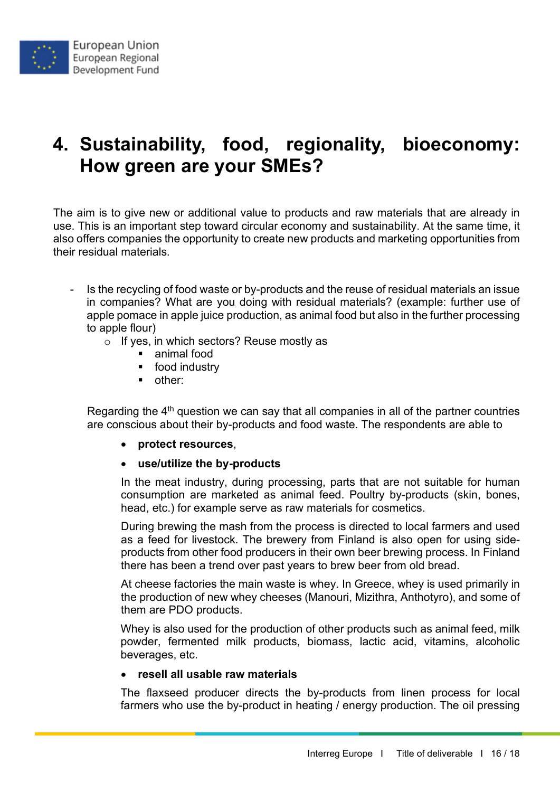## **4. Sustainability, food, regionality, bioeconomy: How green are your SMEs?**

The aim is to give new or additional value to products and raw materials that are already in use. This is an important step toward circular economy and sustainability. At the same time, it also offers companies the opportunity to create new products and marketing opportunities from their residual materials.

- Is the recycling of food waste or by-products and the reuse of residual materials an issue in companies? What are you doing with residual materials? (example: further use of apple pomace in apple juice production, as animal food but also in the further processing to apple flour)
	- o If yes, in which sectors? Reuse mostly as
		- **animal food**
		- **•** food industry
		- other:

Regarding the  $4<sup>th</sup>$  question we can say that all companies in all of the partner countries are conscious about their by-products and food waste. The respondents are able to

• **protect resources**,

#### • **use/utilize the by-products**

In the meat industry, during processing, parts that are not suitable for human consumption are marketed as animal feed. Poultry by-products (skin, bones, head, etc.) for example serve as raw materials for cosmetics.

During brewing the mash from the process is directed to local farmers and used as a feed for livestock. The brewery from Finland is also open for using sideproducts from other food producers in their own beer brewing process. In Finland there has been a trend over past years to brew beer from old bread.

At cheese factories the main waste is whey. In Greece, whey is used primarily in the production of new whey cheeses (Manouri, Mizithra, Anthotyro), and some of them are PDO products.

Whey is also used for the production of other products such as animal feed, milk powder, fermented milk products, biomass, lactic acid, vitamins, alcoholic beverages, etc.

#### • **resell all usable raw materials**

The flaxseed producer directs the by-products from linen process for local farmers who use the by-product in heating / energy production. The oil pressing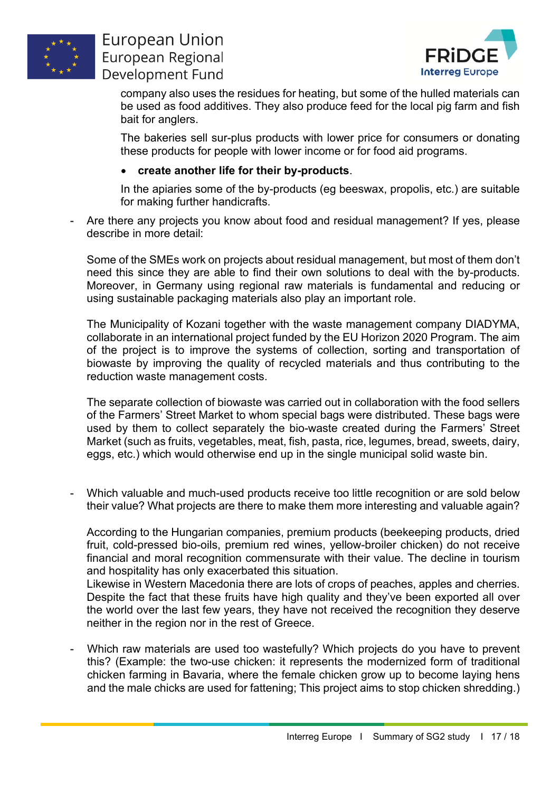



company also uses the residues for heating, but some of the hulled materials can be used as food additives. They also produce feed for the local pig farm and fish bait for anglers.

The bakeries sell sur-plus products with lower price for consumers or donating these products for people with lower income or for food aid programs.

#### • **create another life for their by-products**.

In the apiaries some of the by-products (eg beeswax, propolis, etc.) are suitable for making further handicrafts.

Are there any projects you know about food and residual management? If yes, please describe in more detail:

Some of the SMEs work on projects about residual management, but most of them don't need this since they are able to find their own solutions to deal with the by-products. Moreover, in Germany using regional raw materials is fundamental and reducing or using sustainable packaging materials also play an important role.

The Municipality of Kozani together with the waste management company DIADYMA, collaborate in an international project funded by the EU Horizon 2020 Program. The aim of the project is to improve the systems of collection, sorting and transportation of biowaste by improving the quality of recycled materials and thus contributing to the reduction waste management costs.

The separate collection of biowaste was carried out in collaboration with the food sellers of the Farmers' Street Market to whom special bags were distributed. These bags were used by them to collect separately the bio-waste created during the Farmers' Street Market (such as fruits, vegetables, meat, fish, pasta, rice, legumes, bread, sweets, dairy, eggs, etc.) which would otherwise end up in the single municipal solid waste bin.

Which valuable and much-used products receive too little recognition or are sold below their value? What projects are there to make them more interesting and valuable again?

According to the Hungarian companies, premium products (beekeeping products, dried fruit, cold-pressed bio-oils, premium red wines, yellow-broiler chicken) do not receive financial and moral recognition commensurate with their value. The decline in tourism and hospitality has only exacerbated this situation.

Likewise in Western Macedonia there are lots of crops of peaches, apples and cherries. Despite the fact that these fruits have high quality and they've been exported all over the world over the last few years, they have not received the recognition they deserve neither in the region nor in the rest of Greece.

Which raw materials are used too wastefully? Which projects do you have to prevent this? (Example: the two-use chicken: it represents the modernized form of traditional chicken farming in Bavaria, where the female chicken grow up to become laying hens and the male chicks are used for fattening; This project aims to stop chicken shredding.)